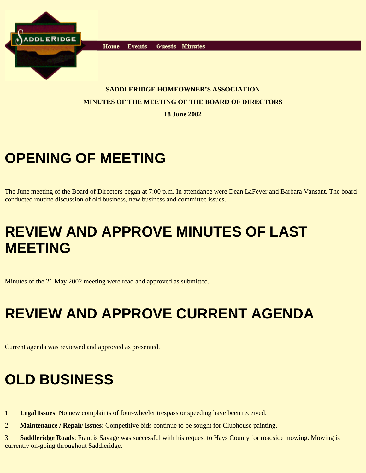

Home **Events** Guests Minutes

#### **SADDLERIDGE HOMEOWNER'S ASSOCIATION MINUTES OF THE MEETING OF THE BOARD OF DIRECTORS**

**18 June 2002**

## **OPENING OF MEETING**

The June meeting of the Board of Directors began at 7:00 p.m. In attendance were Dean LaFever and Barbara Vansant. The board conducted routine discussion of old business, new business and committee issues.

## **REVIEW AND APPROVE MINUTES OF LAST MEETING**

Minutes of the 21 May 2002 meeting were read and approved as submitted.

# **REVIEW AND APPROVE CURRENT AGENDA**

Current agenda was reviewed and approved as presented.

## **OLD BUSINESS**

- 1. **Legal Issues**: No new complaints of four-wheeler trespass or speeding have been received.
- 2. **Maintenance / Repair Issues**: Competitive bids continue to be sought for Clubhouse painting.

3. **Saddleridge Roads**: Francis Savage was successful with his request to Hays County for roadside mowing. Mowing is currently on-going throughout Saddleridge.